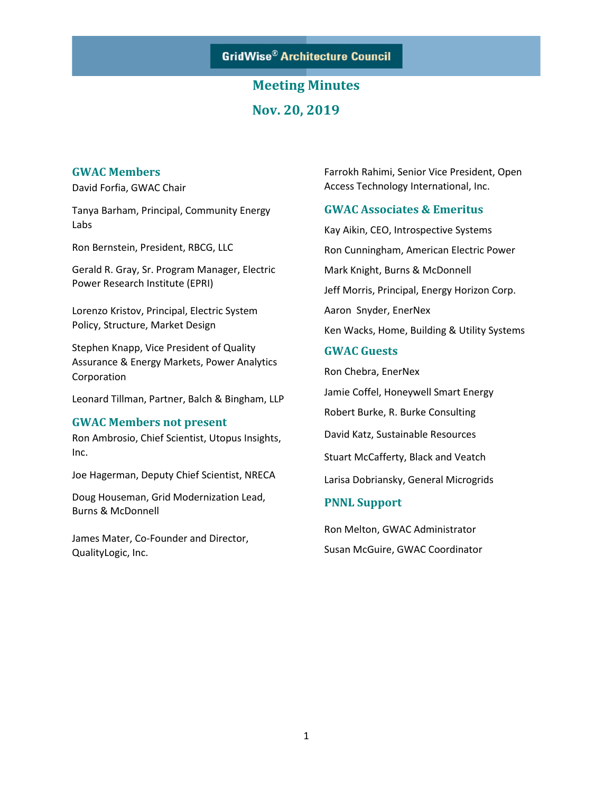**GridWise® Architecture Council** 

# **Meeting Minutes Nov. 20, 2019**

#### **GWAC Members**

David Forfia, GWAC Chair

Tanya Barham, Principal, Community Energy Labs

Ron Bernstein, President, RBCG, LLC

Gerald R. Gray, Sr. Program Manager, Electric Power Research Institute (EPRI)

Lorenzo Kristov, Principal, Electric System Policy, Structure, Market Design

Stephen Knapp, Vice President of Quality Assurance & Energy Markets, Power Analytics Corporation

Leonard Tillman, Partner, Balch & Bingham, LLP

#### **GWAC Members not present**

Ron Ambrosio, Chief Scientist, Utopus Insights, Inc.

Joe Hagerman, Deputy Chief Scientist, NRECA

Doug Houseman, Grid Modernization Lead, Burns & McDonnell

James Mater, Co-Founder and Director, QualityLogic, Inc.

Farrokh Rahimi, Senior Vice President, Open Access Technology International, Inc.

#### **GWAC Associates & Emeritus**

Kay Aikin, CEO, Introspective Systems Ron Cunningham, American Electric Power Mark Knight, Burns & McDonnell Jeff Morris, Principal, Energy Horizon Corp. Aaron Snyder, EnerNex Ken Wacks, Home, Building & Utility Systems

#### **GWAC Guests**

Ron Chebra, EnerNex Jamie Coffel, Honeywell Smart Energy Robert Burke, R. Burke Consulting David Katz, Sustainable Resources Stuart McCafferty, Black and Veatch Larisa Dobriansky, General Microgrids

#### **PNNL Support**

Ron Melton, GWAC Administrator Susan McGuire, GWAC Coordinator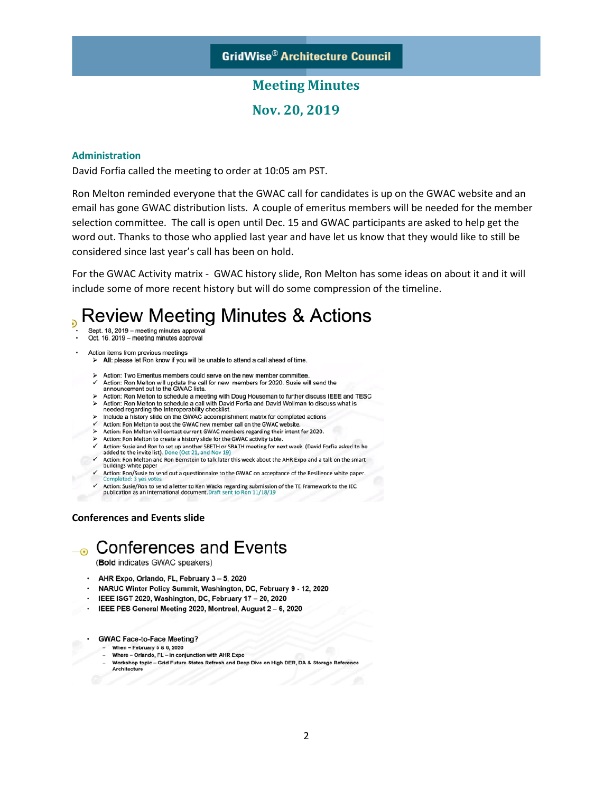**Nov. 20, 2019**

#### **Administration**

David Forfia called the meeting to order at 10:05 am PST.

Ron Melton reminded everyone that the GWAC call for candidates is up on the GWAC website and an email has gone GWAC distribution lists. A couple of emeritus members will be needed for the member selection committee. The call is open until Dec. 15 and GWAC participants are asked to help get the word out. Thanks to those who applied last year and have let us know that they would like to still be considered since last year's call has been on hold.

For the GWAC Activity matrix - GWAC history slide, Ron Melton has some ideas on about it and it will include some of more recent history but will do some compression of the timeline.

#### Review Meeting Minutes & Actions P)

- Sept. 18, 2019 meeting minutes approval
- Oct. 16, 2019 meeting minutes approval
- Action items from previous meetings
	- $\triangleright$  All: please let Ron know if you will be unable to attend a call ahead of time.
	- > Action: Two Emeritus members could serve on the new member committee.
	- Action: Ron Melton will update the call for new members for 2020. Susie will send the announcement out to the GWAC lists.
	- > Action: Ron Melton to schedule a meeting with Doug Houseman to further discuss IEEE and TESC > Action: Ron Melton to schedule a call with David Forfia and David Wollman to discuss what is needed regarding the Interoperability checklist.
	- $\triangleright$  Include a history slide on the GWAC accomplishment matrix for completed actions  $\triangleright$  Action: Ron Melton to post the GWAC accomplishment matrix for completed actions
	-
	- > Action: Ron Melton will contact current GWAC members regarding their intent for 2020.
	- > Action: Ron Melton to create a history slide for the GWAC activity table.
	- Action: Susie and Ron to set up another SBETH or SBATH meeting for next week. (David Forfia asked to be added to the invite list). Done (Oct 21, and Nov 19)
	- $\checkmark$ Action: Ron Melton and Ron Bernstein to talk later this week about the AHR Expo and a talk on the smart<br>buildings white paper
	- Action: Ron/Susie to send out a questionnaire to the GWAC on acceptance of the Resilience white paper. Completed: 3 yes votes
	- Action: Susie/Ron to send a letter to Ken Wacks regarding submission of the TE Framework to the IEC publication as an international document. Draft sent to Ron 11/18/19

#### **Conferences and Events slide**

# ⊕ Conferences and Events

(Bold indicates GWAC speakers)

- AHR Expo, Orlando, FL, February 3 5, 2020
- . NARUC Winter Policy Summit, Washington, DC, February 9 12, 2020
- · IEEE ISGT 2020, Washington, DC, February 17 20, 2020
- IEEE PES General Meeting 2020, Montreal, August 2 6, 2020
- GWAC Face-to-Face Meeting?
	- When February 5 & 6, 2020
	- Where Orlando, FL in conjunction with AHR Expo
	- Workshop topic Grid Future States Refresh and Deep Dive on High DER, DA & Storage Reference Architecture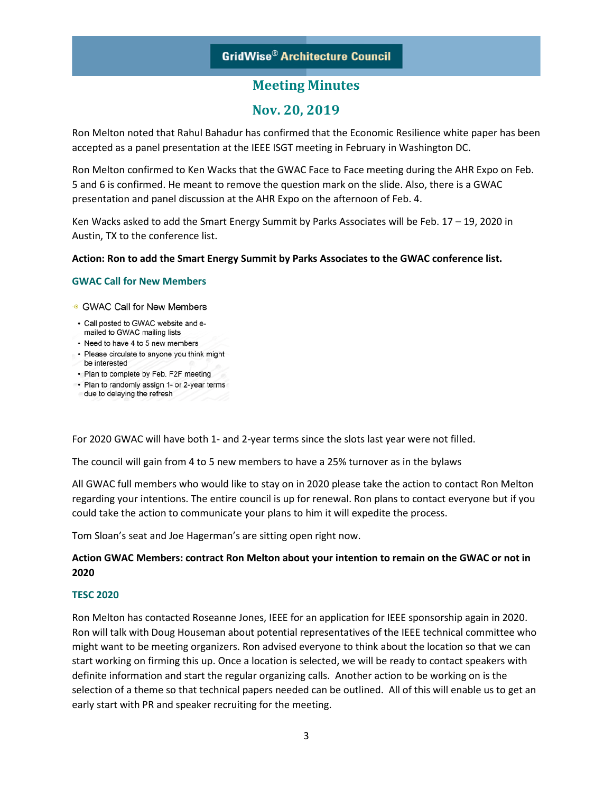### **GridWise® Architecture Council**

### **Meeting Minutes**

### **Nov. 20, 2019**

Ron Melton noted that Rahul Bahadur has confirmed that the Economic Resilience white paper has been accepted as a panel presentation at the IEEE ISGT meeting in February in Washington DC.

Ron Melton confirmed to Ken Wacks that the GWAC Face to Face meeting during the AHR Expo on Feb. 5 and 6 is confirmed. He meant to remove the question mark on the slide. Also, there is a GWAC presentation and panel discussion at the AHR Expo on the afternoon of Feb. 4.

Ken Wacks asked to add the Smart Energy Summit by Parks Associates will be Feb. 17 – 19, 2020 in Austin, TX to the conference list.

#### **Action: Ron to add the Smart Energy Summit by Parks Associates to the GWAC conference list.**

#### **GWAC Call for New Members**

· GWAC Call for New Members

- Call posted to GWAC website and emailed to GWAC mailing lists
- Need to have 4 to 5 new members
- Please circulate to anyone you think might
- be interested • Plan to complete by Feb. F2F meeting
- Plan to randomly assign 1- or 2-year terms
- due to delaying the refresh

For 2020 GWAC will have both 1- and 2-year terms since the slots last year were not filled.

The council will gain from 4 to 5 new members to have a 25% turnover as in the bylaws

All GWAC full members who would like to stay on in 2020 please take the action to contact Ron Melton regarding your intentions. The entire council is up for renewal. Ron plans to contact everyone but if you could take the action to communicate your plans to him it will expedite the process.

Tom Sloan's seat and Joe Hagerman's are sitting open right now.

#### **Action GWAC Members: contract Ron Melton about your intention to remain on the GWAC or not in 2020**

#### **TESC 2020**

Ron Melton has contacted Roseanne Jones, IEEE for an application for IEEE sponsorship again in 2020. Ron will talk with Doug Houseman about potential representatives of the IEEE technical committee who might want to be meeting organizers. Ron advised everyone to think about the location so that we can start working on firming this up. Once a location is selected, we will be ready to contact speakers with definite information and start the regular organizing calls. Another action to be working on is the selection of a theme so that technical papers needed can be outlined. All of this will enable us to get an early start with PR and speaker recruiting for the meeting.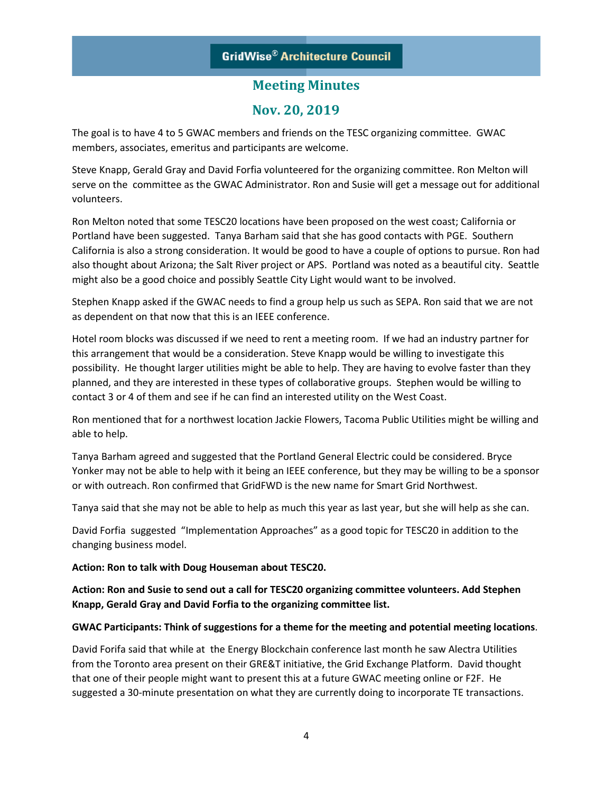### **Nov. 20, 2019**

The goal is to have 4 to 5 GWAC members and friends on the TESC organizing committee. GWAC members, associates, emeritus and participants are welcome.

Steve Knapp, Gerald Gray and David Forfia volunteered for the organizing committee. Ron Melton will serve on the committee as the GWAC Administrator. Ron and Susie will get a message out for additional volunteers.

Ron Melton noted that some TESC20 locations have been proposed on the west coast; California or Portland have been suggested. Tanya Barham said that she has good contacts with PGE. Southern California is also a strong consideration. It would be good to have a couple of options to pursue. Ron had also thought about Arizona; the Salt River project or APS. Portland was noted as a beautiful city. Seattle might also be a good choice and possibly Seattle City Light would want to be involved.

Stephen Knapp asked if the GWAC needs to find a group help us such as SEPA. Ron said that we are not as dependent on that now that this is an IEEE conference.

Hotel room blocks was discussed if we need to rent a meeting room. If we had an industry partner for this arrangement that would be a consideration. Steve Knapp would be willing to investigate this possibility. He thought larger utilities might be able to help. They are having to evolve faster than they planned, and they are interested in these types of collaborative groups. Stephen would be willing to contact 3 or 4 of them and see if he can find an interested utility on the West Coast.

Ron mentioned that for a northwest location Jackie Flowers, Tacoma Public Utilities might be willing and able to help.

Tanya Barham agreed and suggested that the Portland General Electric could be considered. Bryce Yonker may not be able to help with it being an IEEE conference, but they may be willing to be a sponsor or with outreach. Ron confirmed that GridFWD is the new name for Smart Grid Northwest.

Tanya said that she may not be able to help as much this year as last year, but she will help as she can.

David Forfia suggested "Implementation Approaches" as a good topic for TESC20 in addition to the changing business model.

#### **Action: Ron to talk with Doug Houseman about TESC20.**

**Action: Ron and Susie to send out a call for TESC20 organizing committee volunteers. Add Stephen Knapp, Gerald Gray and David Forfia to the organizing committee list.** 

#### **GWAC Participants: Think of suggestions for a theme for the meeting and potential meeting locations**.

David Forifa said that while at the Energy Blockchain conference last month he saw Alectra Utilities from the Toronto area present on their GRE&T initiative, the Grid Exchange Platform. David thought that one of their people might want to present this at a future GWAC meeting online or F2F. He suggested a 30-minute presentation on what they are currently doing to incorporate TE transactions.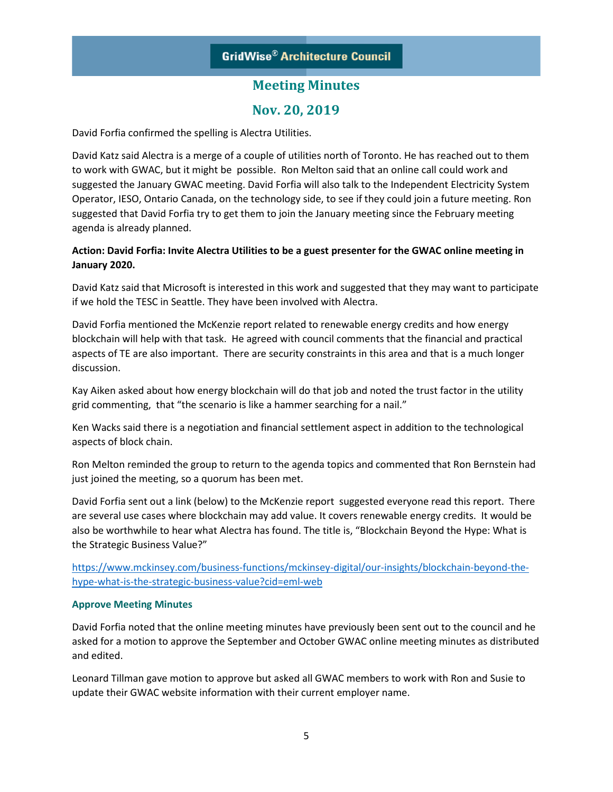# **Nov. 20, 2019**

David Forfia confirmed the spelling is Alectra Utilities.

David Katz said Alectra is a merge of a couple of utilities north of Toronto. He has reached out to them to work with GWAC, but it might be possible. Ron Melton said that an online call could work and suggested the January GWAC meeting. David Forfia will also talk to the Independent Electricity System Operator, IESO, Ontario Canada, on the technology side, to see if they could join a future meeting. Ron suggested that David Forfia try to get them to join the January meeting since the February meeting agenda is already planned.

#### **Action: David Forfia: Invite Alectra Utilities to be a guest presenter for the GWAC online meeting in January 2020.**

David Katz said that Microsoft is interested in this work and suggested that they may want to participate if we hold the TESC in Seattle. They have been involved with Alectra.

David Forfia mentioned the McKenzie report related to renewable energy credits and how energy blockchain will help with that task. He agreed with council comments that the financial and practical aspects of TE are also important. There are security constraints in this area and that is a much longer discussion.

Kay Aiken asked about how energy blockchain will do that job and noted the trust factor in the utility grid commenting, that "the scenario is like a hammer searching for a nail."

Ken Wacks said there is a negotiation and financial settlement aspect in addition to the technological aspects of block chain.

Ron Melton reminded the group to return to the agenda topics and commented that Ron Bernstein had just joined the meeting, so a quorum has been met.

David Forfia sent out a link (below) to the McKenzie report suggested everyone read this report. There are several use cases where blockchain may add value. It covers renewable energy credits. It would be also be worthwhile to hear what Alectra has found. The title is, "Blockchain Beyond the Hype: What is the Strategic Business Value?"

[https://www.mckinsey.com/business-functions/mckinsey-digital/our-insights/blockchain-beyond-the](https://www.mckinsey.com/business-functions/mckinsey-digital/our-insights/blockchain-beyond-the-hype-what-is-the-strategic-business-value?cid=eml-web)[hype-what-is-the-strategic-business-value?cid=eml-web](https://www.mckinsey.com/business-functions/mckinsey-digital/our-insights/blockchain-beyond-the-hype-what-is-the-strategic-business-value?cid=eml-web)

#### **Approve Meeting Minutes**

David Forfia noted that the online meeting minutes have previously been sent out to the council and he asked for a motion to approve the September and October GWAC online meeting minutes as distributed and edited.

Leonard Tillman gave motion to approve but asked all GWAC members to work with Ron and Susie to update their GWAC website information with their current employer name.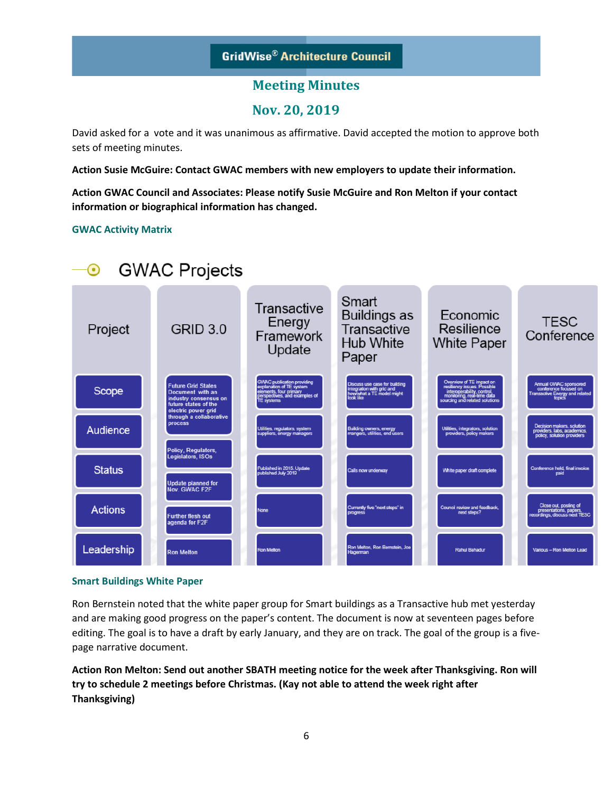# **Nov. 20, 2019**

David asked for a vote and it was unanimous as affirmative. David accepted the motion to approve both sets of meeting minutes.

**Action Susie McGuire: Contact GWAC members with new employers to update their information.**

**Action GWAC Council and Associates: Please notify Susie McGuire and Ron Melton if your contact information or biographical information has changed.** 

#### **GWAC Activity Matrix**



#### **Smart Buildings White Paper**

Ron Bernstein noted that the white paper group for Smart buildings as a Transactive hub met yesterday and are making good progress on the paper's content. The document is now at seventeen pages before editing. The goal is to have a draft by early January, and they are on track. The goal of the group is a fivepage narrative document.

**Action Ron Melton: Send out another SBATH meeting notice for the week after Thanksgiving. Ron will try to schedule 2 meetings before Christmas. (Kay not able to attend the week right after Thanksgiving)**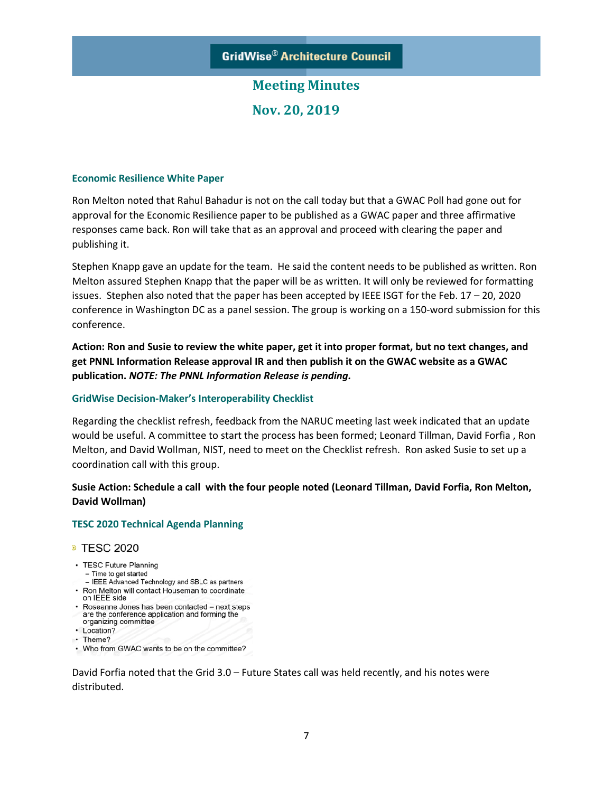**Nov. 20, 2019**

#### **Economic Resilience White Paper**

Ron Melton noted that Rahul Bahadur is not on the call today but that a GWAC Poll had gone out for approval for the Economic Resilience paper to be published as a GWAC paper and three affirmative responses came back. Ron will take that as an approval and proceed with clearing the paper and publishing it.

Stephen Knapp gave an update for the team. He said the content needs to be published as written. Ron Melton assured Stephen Knapp that the paper will be as written. It will only be reviewed for formatting issues. Stephen also noted that the paper has been accepted by IEEE ISGT for the Feb. 17 – 20, 2020 conference in Washington DC as a panel session. The group is working on a 150-word submission for this conference.

**Action: Ron and Susie to review the white paper, get it into proper format, but no text changes, and get PNNL Information Release approval IR and then publish it on the GWAC website as a GWAC publication.** *NOTE: The PNNL Information Release is pending.*

#### **GridWise Decision-Maker's Interoperability Checklist**

Regarding the checklist refresh, feedback from the NARUC meeting last week indicated that an update would be useful. A committee to start the process has been formed; Leonard Tillman, David Forfia , Ron Melton, and David Wollman, NIST, need to meet on the Checklist refresh. Ron asked Susie to set up a coordination call with this group.

#### **Susie Action: Schedule a call with the four people noted (Leonard Tillman, David Forfia, Ron Melton, David Wollman)**

#### **TESC 2020 Technical Agenda Planning**

#### **• TESC 2020**

- TESC Future Planning
- Time to get started
- IEEE Advanced Technology and SBLC as partners
- Ron Melton will contact Houseman to coordinate on IEEE side
- · Roseanne Jones has been contacted next steps are the conference application and forming the
- organizing committee
- Location?
- Theme?
- Who from GWAC wants to be on the committee?

David Forfia noted that the Grid 3.0 – Future States call was held recently, and his notes were distributed.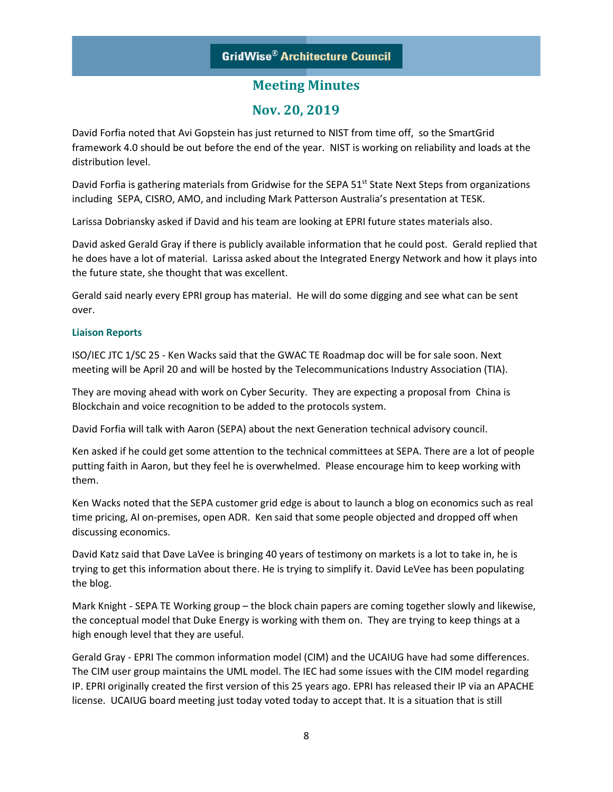## **Nov. 20, 2019**

David Forfia noted that Avi Gopstein has just returned to NIST from time off, so the SmartGrid framework 4.0 should be out before the end of the year. NIST is working on reliability and loads at the distribution level.

David Forfia is gathering materials from Gridwise for the SEPA 51<sup>st</sup> State Next Steps from organizations including SEPA, CISRO, AMO, and including Mark Patterson Australia's presentation at TESK.

Larissa Dobriansky asked if David and his team are looking at EPRI future states materials also.

David asked Gerald Gray if there is publicly available information that he could post. Gerald replied that he does have a lot of material. Larissa asked about the Integrated Energy Network and how it plays into the future state, she thought that was excellent.

Gerald said nearly every EPRI group has material. He will do some digging and see what can be sent over.

#### **Liaison Reports**

ISO/IEC JTC 1/SC 25 - Ken Wacks said that the GWAC TE Roadmap doc will be for sale soon. Next meeting will be April 20 and will be hosted by the Telecommunications Industry Association (TIA).

They are moving ahead with work on Cyber Security. They are expecting a proposal from China is Blockchain and voice recognition to be added to the protocols system.

David Forfia will talk with Aaron (SEPA) about the next Generation technical advisory council.

Ken asked if he could get some attention to the technical committees at SEPA. There are a lot of people putting faith in Aaron, but they feel he is overwhelmed. Please encourage him to keep working with them.

Ken Wacks noted that the SEPA customer grid edge is about to launch a blog on economics such as real time pricing, AI on-premises, open ADR. Ken said that some people objected and dropped off when discussing economics.

David Katz said that Dave LaVee is bringing 40 years of testimony on markets is a lot to take in, he is trying to get this information about there. He is trying to simplify it. David LeVee has been populating the blog.

Mark Knight - SEPA TE Working group – the block chain papers are coming together slowly and likewise, the conceptual model that Duke Energy is working with them on. They are trying to keep things at a high enough level that they are useful.

Gerald Gray - EPRI The common information model (CIM) and the UCAIUG have had some differences. The CIM user group maintains the UML model. The IEC had some issues with the CIM model regarding IP. EPRI originally created the first version of this 25 years ago. EPRI has released their IP via an APACHE license. UCAIUG board meeting just today voted today to accept that. It is a situation that is still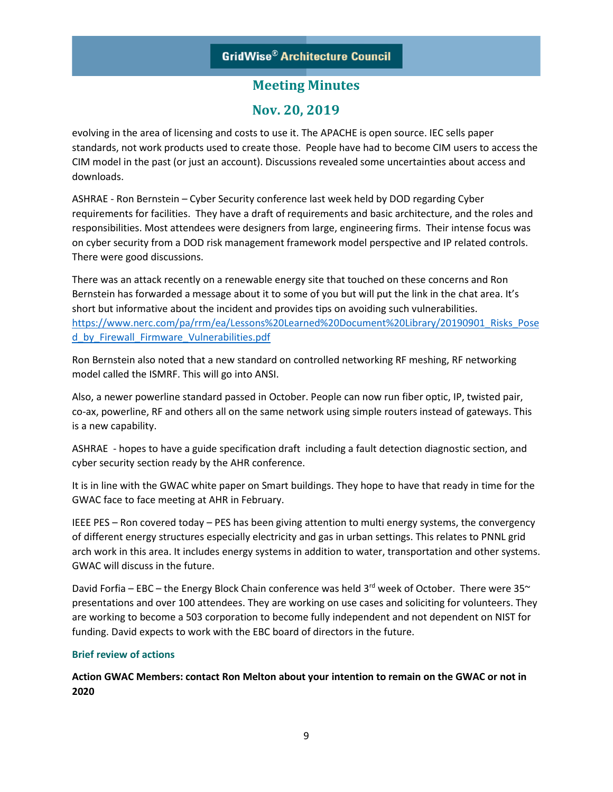## **Nov. 20, 2019**

evolving in the area of licensing and costs to use it. The APACHE is open source. IEC sells paper standards, not work products used to create those. People have had to become CIM users to access the CIM model in the past (or just an account). Discussions revealed some uncertainties about access and downloads.

ASHRAE - Ron Bernstein – Cyber Security conference last week held by DOD regarding Cyber requirements for facilities. They have a draft of requirements and basic architecture, and the roles and responsibilities. Most attendees were designers from large, engineering firms. Their intense focus was on cyber security from a DOD risk management framework model perspective and IP related controls. There were good discussions.

There was an attack recently on a renewable energy site that touched on these concerns and Ron Bernstein has forwarded a message about it to some of you but will put the link in the chat area. It's short but informative about the incident and provides tips on avoiding such vulnerabilities. [https://www.nerc.com/pa/rrm/ea/Lessons%20Learned%20Document%20Library/20190901\\_Risks\\_Pose](https://protect2.fireeye.com/v1/url?k=8c98290e-d02d17c1-8c98031b-0cc47adc5e60-45419f489d3f68a5&q=1&e=0c3e28ea-5195-4f65-b205-5ce92ae67476&u=https%3A%2F%2Fwww.nerc.com%2Fpa%2Frrm%2Fea%2FLessons%2520Learned%2520Document%2520Library%2F20190901_Risks_Posed_by_Firewall_Firmware_Vulnerabilities.pdf) [d\\_by\\_Firewall\\_Firmware\\_Vulnerabilities.pdf](https://protect2.fireeye.com/v1/url?k=8c98290e-d02d17c1-8c98031b-0cc47adc5e60-45419f489d3f68a5&q=1&e=0c3e28ea-5195-4f65-b205-5ce92ae67476&u=https%3A%2F%2Fwww.nerc.com%2Fpa%2Frrm%2Fea%2FLessons%2520Learned%2520Document%2520Library%2F20190901_Risks_Posed_by_Firewall_Firmware_Vulnerabilities.pdf)

Ron Bernstein also noted that a new standard on controlled networking RF meshing, RF networking model called the ISMRF. This will go into ANSI.

Also, a newer powerline standard passed in October. People can now run fiber optic, IP, twisted pair, co-ax, powerline, RF and others all on the same network using simple routers instead of gateways. This is a new capability.

ASHRAE - hopes to have a guide specification draft including a fault detection diagnostic section, and cyber security section ready by the AHR conference.

It is in line with the GWAC white paper on Smart buildings. They hope to have that ready in time for the GWAC face to face meeting at AHR in February.

IEEE PES – Ron covered today – PES has been giving attention to multi energy systems, the convergency of different energy structures especially electricity and gas in urban settings. This relates to PNNL grid arch work in this area. It includes energy systems in addition to water, transportation and other systems. GWAC will discuss in the future.

David Forfia – EBC – the Energy Block Chain conference was held  $3^{rd}$  week of October. There were  $35^{\sim}$ presentations and over 100 attendees. They are working on use cases and soliciting for volunteers. They are working to become a 503 corporation to become fully independent and not dependent on NIST for funding. David expects to work with the EBC board of directors in the future.

#### **Brief review of actions**

**Action GWAC Members: contact Ron Melton about your intention to remain on the GWAC or not in 2020**